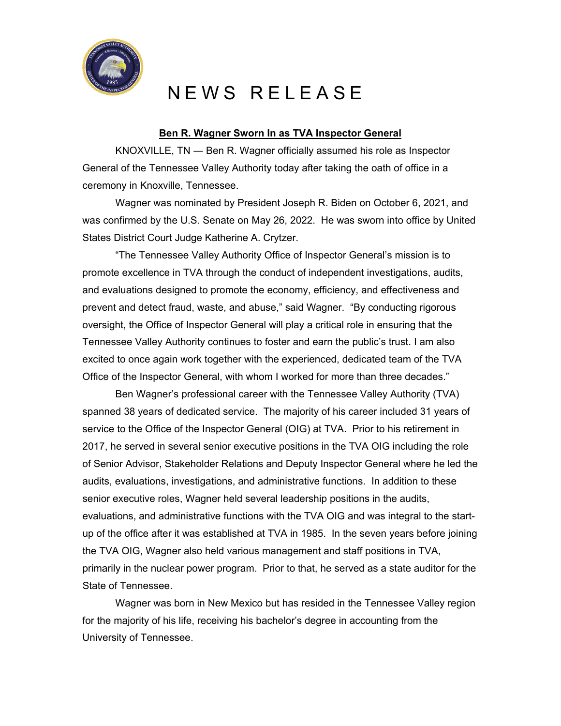

## NEWS RELEASE

## **Ben R. Wagner Sworn In as TVA Inspector General**

KNOXVILLE, TN ― Ben R. Wagner officially assumed his role as Inspector General of the Tennessee Valley Authority today after taking the oath of office in a ceremony in Knoxville, Tennessee.

Wagner was nominated by President Joseph R. Biden on October 6, 2021, and was confirmed by the U.S. Senate on May 26, 2022. He was sworn into office by United States District Court Judge Katherine A. Crytzer.

"The Tennessee Valley Authority Office of Inspector General's mission is to promote excellence in TVA through the conduct of independent investigations, audits, and evaluations designed to promote the economy, efficiency, and effectiveness and prevent and detect fraud, waste, and abuse," said Wagner. "By conducting rigorous oversight, the Office of Inspector General will play a critical role in ensuring that the Tennessee Valley Authority continues to foster and earn the public's trust. I am also excited to once again work together with the experienced, dedicated team of the TVA Office of the Inspector General, with whom I worked for more than three decades."

Ben Wagner's professional career with the Tennessee Valley Authority (TVA) spanned 38 years of dedicated service. The majority of his career included 31 years of service to the Office of the Inspector General (OIG) at TVA. Prior to his retirement in 2017, he served in several senior executive positions in the TVA OIG including the role of Senior Advisor, Stakeholder Relations and Deputy Inspector General where he led the audits, evaluations, investigations, and administrative functions. In addition to these senior executive roles, Wagner held several leadership positions in the audits, evaluations, and administrative functions with the TVA OIG and was integral to the startup of the office after it was established at TVA in 1985. In the seven years before joining the TVA OIG, Wagner also held various management and staff positions in TVA, primarily in the nuclear power program. Prior to that, he served as a state auditor for the State of Tennessee.

Wagner was born in New Mexico but has resided in the Tennessee Valley region for the majority of his life, receiving his bachelor's degree in accounting from the University of Tennessee.